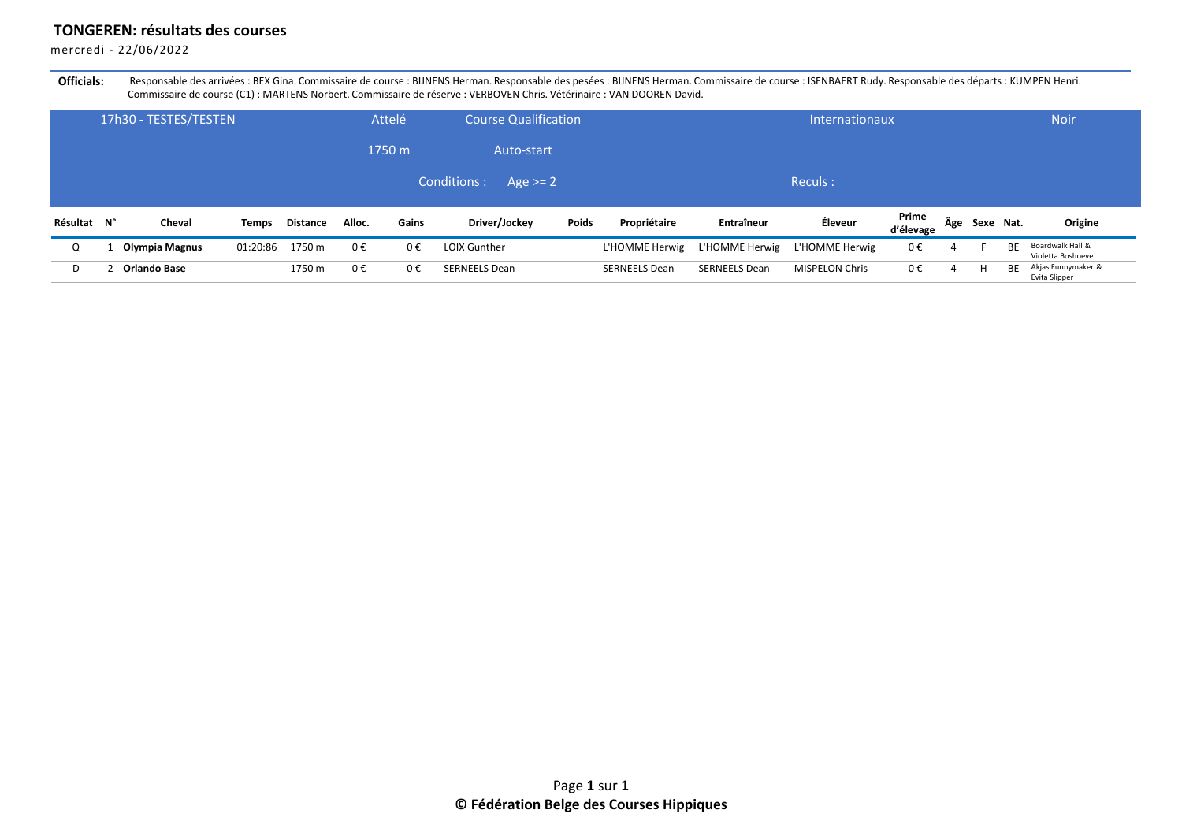## **TONGEREN: résultats des courses**

mercredi - 22/06/2022

Officials: Responsable des arrivées : BEX Gina. Commissaire de course : BIJNENS Herman. Responsable des pesées : BIJNENS Herman. Commissaire de course : ISENBAERT Rudy. Responsable des départs : KUMPEN Henri. Commissaire de course (C1) : MARTENS Norbert. Commissaire de réserve : VERBOVEN Chris. Vétérinaire : VAN DOOREN David.

|             | 17h30 - TESTES/TESTEN |          |          |         | Attelé  | <b>Course Qualification</b> |       |                      |                      | <b>Internationaux</b> |                    |     |           |    | <b>Noir</b>                           |
|-------------|-----------------------|----------|----------|---------|---------|-----------------------------|-------|----------------------|----------------------|-----------------------|--------------------|-----|-----------|----|---------------------------------------|
|             |                       |          |          |         | 1750 m  | Auto-start                  |       |                      |                      |                       |                    |     |           |    |                                       |
|             |                       |          |          |         |         | Conditions :<br>Age $>= 2$  |       |                      |                      | Reculs:               |                    |     |           |    |                                       |
| Résultat N° | Cheval                | Temps    | Distance | Alloc.  | Gains   | Driver/Jockey               | Poids | Propriétaire         | Entraîneur           | Éleveur               | Prime<br>d'élevage | Age | Sexe Nat. |    | Origine                               |
| Q           | Olympia Magnus        | 01:20:86 | 1750 m   | $0 \in$ | $0 \in$ | <b>LOIX Gunther</b>         |       | L'HOMME Herwig       | L'HOMME Herwig       | L'HOMME Herwig        | 0€                 | 4   |           | BE | Boardwalk Hall &<br>Violetta Boshoeve |
| D           | Orlando Base          |          | 1750 m   | 0€      | 0€      | <b>SERNEELS Dean</b>        |       | <b>SERNEELS Dean</b> | <b>SERNEELS Dean</b> | <b>MISPELON Chris</b> | $0 \in$            | 4   | H         | ВE | Akjas Funnymaker &<br>Evita Slipper   |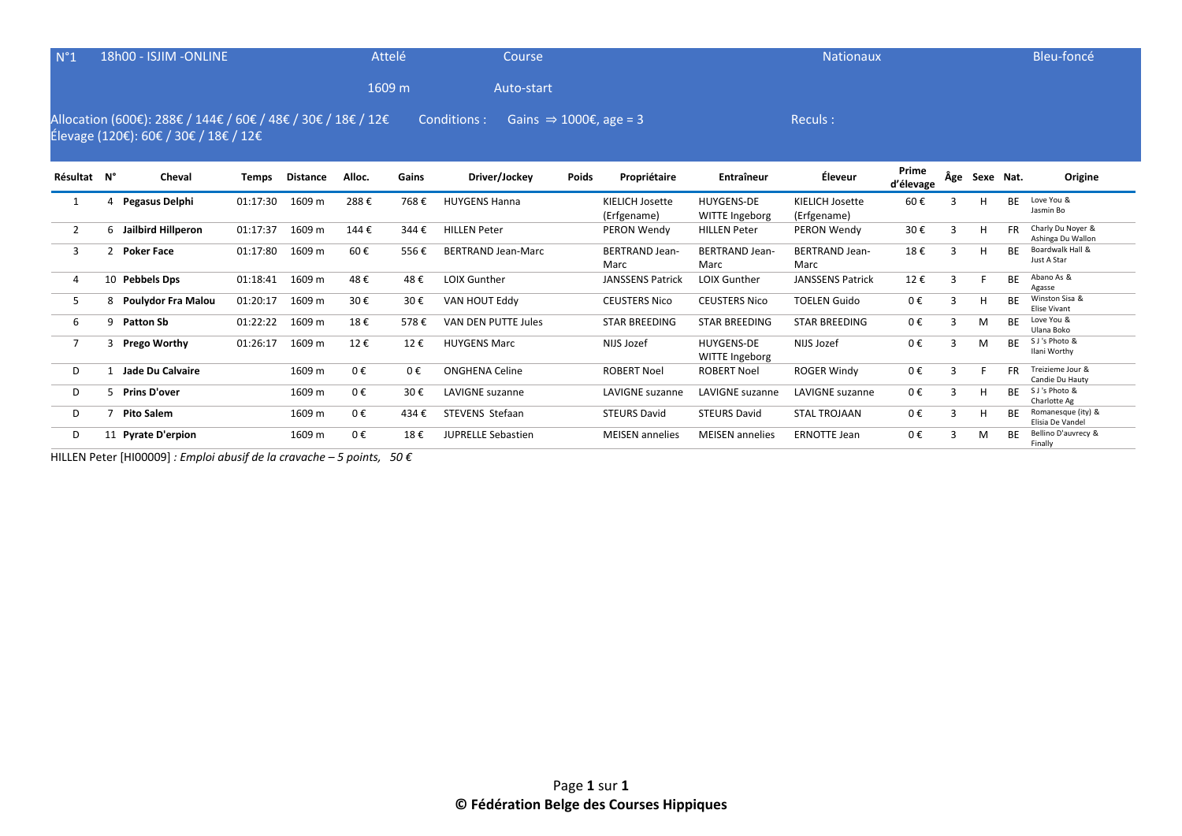| N°1            |                | 18h00 - ISJIM -ONLINE                                                                                 |          |                 |        | <b>Attelé</b> | Course                                             |              |                                |                                     | <b>Nationaux</b>                      |                    |              |               |           | Bleu-foncé                             |
|----------------|----------------|-------------------------------------------------------------------------------------------------------|----------|-----------------|--------|---------------|----------------------------------------------------|--------------|--------------------------------|-------------------------------------|---------------------------------------|--------------------|--------------|---------------|-----------|----------------------------------------|
|                |                |                                                                                                       |          |                 |        | 1609 m        | Auto-start                                         |              |                                |                                     |                                       |                    |              |               |           |                                        |
|                |                | Allocation (600€): 288€ / 144€ / 60€ / 48€ / 30€ / 18€ / 12€<br>Élevage (120€): 60€ / 30€ / 18€ / 12€ |          |                 |        |               | Conditions :<br>Gains $\Rightarrow$ 1000€, age = 3 |              |                                |                                     | Reculs:                               |                    |              |               |           |                                        |
| Résultat N°    |                | Cheval                                                                                                | Temps    | <b>Distance</b> | Alloc. | Gains         | Driver/Jockey                                      | <b>Poids</b> | Propriétaire                   | Entraîneur                          | Éleveur                               | Prime<br>d'élevage |              | Age Sexe Nat. |           | Origine                                |
| 1              | 4              | Pegasus Delphi                                                                                        | 01:17:30 | 1609 m          | 288€   | 768€          | <b>HUYGENS Hanna</b>                               |              | KIELICH Josette<br>(Erfgename) | <b>HUYGENS-DE</b><br>WITTE Ingeborg | <b>KIELICH Josette</b><br>(Erfgename) | 60€                |              | н             | <b>BE</b> | Love You &<br>Jasmin Bo                |
| 2              | 6              | Jailbird Hillperon                                                                                    | 01:17:37 | 1609 m          | 144€   | 344€          | <b>HILLEN Peter</b>                                |              | PERON Wendy                    | <b>HILLEN Peter</b>                 | PERON Wendy                           | 30€                | $\mathbf{R}$ | H             | <b>FR</b> | Charly Du Noyer &<br>Ashinga Du Wallon |
| 3              | $\overline{2}$ | <b>Poker Face</b>                                                                                     | 01:17:80 | 1609 m          | 60€    | 556€          | <b>BERTRAND Jean-Marc</b>                          |              | <b>BERTRAND Jean-</b><br>Marc  | <b>BERTRAND Jean-</b><br>Marc       | <b>BERTRAND Jean-</b><br>Marc         | 18€                | 3            | н             | BE        | Boardwalk Hall &<br>Just A Star        |
| 4              |                | 10 Pebbels Dps                                                                                        | 01:18:41 | 1609 m          | 48€    | 48€           | <b>LOIX Gunther</b>                                |              | <b>JANSSENS Patrick</b>        | LOIX Gunther                        | <b>JANSSENS Patrick</b>               | 12€                | 3            |               | <b>BE</b> | Abano As &<br>Agasse                   |
| 5              | 8              | Poulydor Fra Malou                                                                                    | 01:20:17 | 1609 m          | 30€    | 30€           | VAN HOUT Eddy                                      |              | <b>CEUSTERS Nico</b>           | <b>CEUSTERS Nico</b>                | <b>TOELEN Guido</b>                   | 0€                 | 3            | H             | <b>BE</b> | Winston Sisa &<br><b>Elise Vivant</b>  |
| 6              | 9              | <b>Patton Sb</b>                                                                                      | 01:22:22 | 1609 m          | 18€    | 578€          | <b>VAN DEN PUTTE Jules</b>                         |              | <b>STAR BREEDING</b>           | <b>STAR BREEDING</b>                | <b>STAR BREEDING</b>                  | 0€                 | 3            | M             | <b>BF</b> | Love You &<br>Ulana Boko               |
| $\overline{7}$ | 3              | <b>Prego Worthy</b>                                                                                   | 01:26:17 | 1609 m          | 12€    | 12€           | <b>HUYGENS Marc</b>                                |              | NIJS Jozef                     | <b>HUYGENS-DE</b><br>WITTE Ingeborg | NIJS Jozef                            | 0€                 | 3            | M             | <b>BE</b> | S J's Photo &<br>Ilani Worthy          |
| D              |                | Jade Du Calvaire                                                                                      |          | 1609 m          | 0€     | $0 \in$       | <b>ONGHENA Celine</b>                              |              | <b>ROBERT Noel</b>             | <b>ROBERT Noel</b>                  | <b>ROGER Windy</b>                    | 0€                 | 3            |               | <b>FR</b> | Treizieme Jour &<br>Candie Du Hauty    |
| D              | 5.             | <b>Prins D'over</b>                                                                                   |          | 1609 m          | 0€     | 30€           | LAVIGNE suzanne                                    |              | <b>LAVIGNE</b> suzanne         | <b>LAVIGNE</b> suzanne              | <b>LAVIGNE</b> suzanne                | 0€                 | 3            | H             | <b>BE</b> | S J's Photo &<br>Charlotte Ag          |
| D              |                | <b>Pito Salem</b>                                                                                     |          | 1609 m          | 0€     | 434€          | STEVENS Stefaan                                    |              | <b>STEURS David</b>            | <b>STEURS David</b>                 | <b>STAL TROJAAN</b>                   | 0€                 | 3            | н             | <b>BE</b> | Romanesque (ity) &<br>Elisia De Vandel |
| D              | 11             | <b>Pyrate D'erpion</b>                                                                                |          | 1609 m          | 0€     | 18€           | <b>JUPRELLE Sebastien</b>                          |              | <b>MEISEN</b> annelies         | <b>MEISEN</b> annelies              | <b>ERNOTTE Jean</b>                   | 0€                 | З            | M             | <b>BE</b> | Bellino D'auvrecy &<br>Finally         |

HILLEN Peter [HI00009] *: Emploi abusif de la cravache – 5 points, 50 €*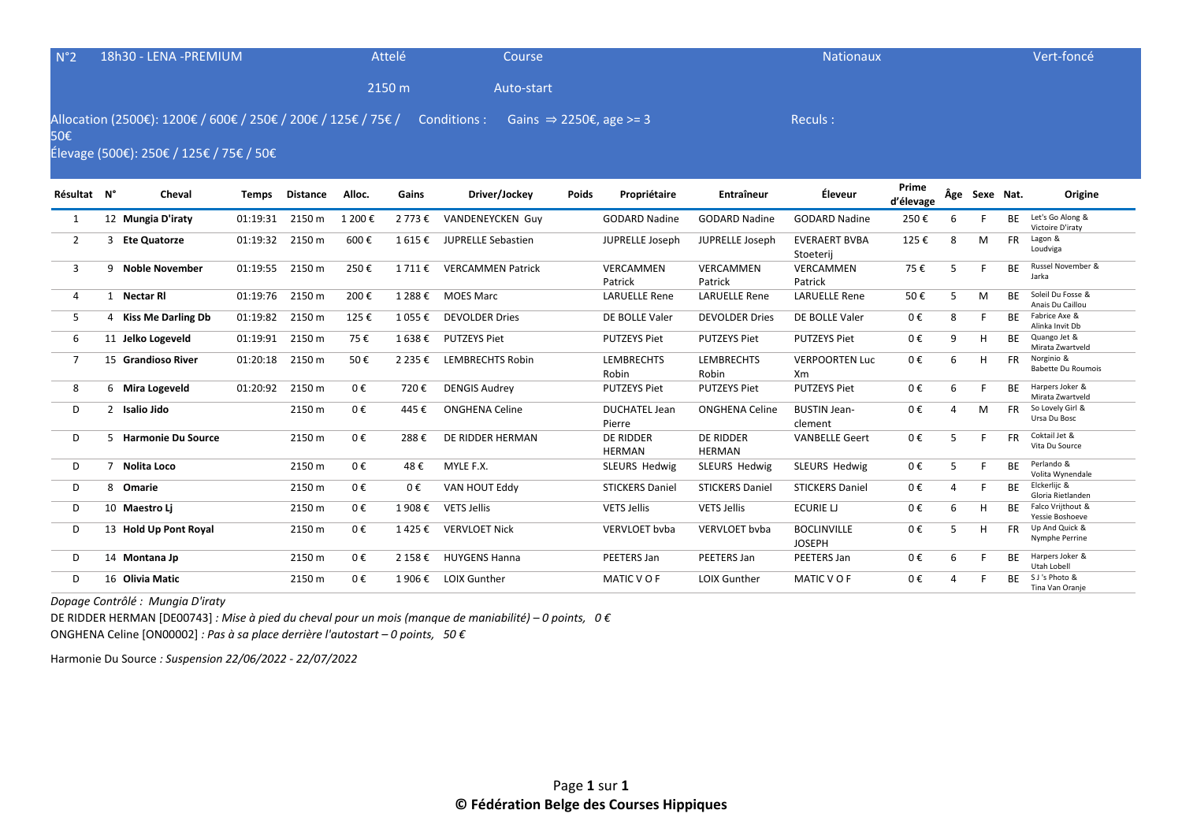| N°2            | 18h30 - LENA - PREMIUM                                                                                   |              |                 |         | Attelé    | Course                    |       |                                     |                                   | <b>Nationaux</b>                    |                    |   |               |           | Vert-foncé                              |
|----------------|----------------------------------------------------------------------------------------------------------|--------------|-----------------|---------|-----------|---------------------------|-------|-------------------------------------|-----------------------------------|-------------------------------------|--------------------|---|---------------|-----------|-----------------------------------------|
|                |                                                                                                          |              |                 |         | 2150 m    | Auto-start                |       |                                     |                                   |                                     |                    |   |               |           |                                         |
| 50€            | Allocation (2500€): 1200€ / 600€ / 250€ / 200€ / 125€ / 75€ /<br>Élevage (500€): 250€ / 125€ / 75€ / 50€ |              |                 |         |           | Conditions :              |       | Gains $\Rightarrow$ 2250€, age >= 3 |                                   | Reculs:                             |                    |   |               |           |                                         |
| Résultat N°    | Cheval                                                                                                   | <b>Temps</b> | <b>Distance</b> | Alloc.  | Gains     | Driver/Jockey             | Poids | Propriétaire                        | <b>Entraîneur</b>                 | Éleveur                             | Prime<br>d'élevage |   | Âge Sexe Nat. |           | Origine                                 |
| 1              | 12 Mungia D'iraty                                                                                        | 01:19:31     | 2150 m          | 1 200€  | 2 773 €   | VANDENEYCKEN Guy          |       | <b>GODARD Nadine</b>                | <b>GODARD Nadine</b>              | <b>GODARD Nadine</b>                | 250€               | 6 |               | <b>BE</b> | Let's Go Along &<br>Victoire D'iraty    |
| $\overline{2}$ | 3 Ete Quatorze                                                                                           | 01:19:32     | 2150 m          | 600€    | 1615€     | <b>JUPRELLE Sebastien</b> |       | JUPRELLE Joseph                     | JUPRELLE Joseph                   | <b>EVERAERT BVBA</b><br>Stoeterij   | 125€               | 8 | M             | <b>FR</b> | Lagon &<br>Loudviga                     |
| 3              | 9 Noble November                                                                                         | 01:19:55     | 2150 m          | 250€    | 1 711 €   | <b>VERCAMMEN Patrick</b>  |       | VERCAMMEN<br>Patrick                | <b>VERCAMMEN</b><br>Patrick       | <b>VERCAMMEN</b><br>Patrick         | 75€                | 5 |               | <b>BE</b> | Russel November &<br>Jarka              |
| 4              | 1 Nectar RI                                                                                              | 01:19:76     | 2150 m          | 200€    | 1 288 €   | <b>MOES Marc</b>          |       | <b>LARUELLE Rene</b>                | <b>LARUELLE Rene</b>              | <b>LARUELLE Rene</b>                | 50€                | 5 | M             | <b>BE</b> | Soleil Du Fosse &<br>Anais Du Caillou   |
| 5              | 4 Kiss Me Darling Db                                                                                     | 01:19:82     | 2150 m          | 125€    | 1 055€    | <b>DEVOLDER Dries</b>     |       | DE BOLLE Valer                      | <b>DEVOLDER Dries</b>             | DE BOLLE Valer                      | 0€                 | 8 |               | <b>BF</b> | Fabrice Axe &<br>Alinka Invit Db        |
| 6              | 11 Jelko Logeveld                                                                                        | 01:19:91     | 2150 m          | 75€     | 1638€     | <b>PUTZEYS Piet</b>       |       | <b>PUTZEYS Piet</b>                 | <b>PUTZEYS Piet</b>               | <b>PUTZEYS Piet</b>                 | 0€                 | 9 | H             | <b>BE</b> | Quango Jet &<br>Mirata Zwartveld        |
| $\overline{7}$ | 15 Grandioso River                                                                                       | 01:20:18     | 2150 m          | 50€     | 2 2 3 5 € | <b>LEMBRECHTS Robin</b>   |       | <b>LEMBRECHTS</b><br>Robin          | <b>LEMBRECHTS</b><br>Robin        | <b>VERPOORTEN Luc</b><br>Xm         | 0€                 | 6 | H             | <b>FR</b> | Norginio &<br><b>Babette Du Roumois</b> |
| 8              | 6 Mira Logeveld                                                                                          | 01:20:92     | 2150 m          | 0€      | 720€      | <b>DENGIS Audrey</b>      |       | <b>PUTZEYS Piet</b>                 | <b>PUTZEYS Piet</b>               | <b>PUTZEYS Piet</b>                 | 0€                 | 6 | F             | <b>BE</b> | Harpers Joker &<br>Mirata Zwartveld     |
| D              | 2 Isalio Jido                                                                                            |              | 2150 m          | $0 \in$ | 445€      | <b>ONGHENA Celine</b>     |       | <b>DUCHATEL Jean</b><br>Pierre      | <b>ONGHENA Celine</b>             | <b>BUSTIN Jean-</b><br>clement      | 0€                 | 4 | M             | <b>FR</b> | So Lovely Girl &<br>Ursa Du Bosc        |
| D              | 5 Harmonie Du Source                                                                                     |              | 2150 m          | 0€      | 288€      | DE RIDDER HERMAN          |       | <b>DE RIDDER</b><br><b>HERMAN</b>   | <b>DE RIDDER</b><br><b>HERMAN</b> | <b>VANBELLE Geert</b>               | 0€                 | 5 |               | <b>FR</b> | Coktail Jet &<br>Vita Du Source         |
| D              | 7 Nolita Loco                                                                                            |              | 2150 m          | 0€      | 48€       | MYLE F.X.                 |       | SLEURS Hedwig                       | <b>SLEURS Hedwig</b>              | <b>SLEURS Hedwig</b>                | 0€                 | 5 | F             | <b>RF</b> | Perlando &<br>Volita Wynendale          |
| D              | 8 Omarie                                                                                                 |              | 2150 m          | 0€      | 0€        | VAN HOUT Eddy             |       | <b>STICKERS Daniel</b>              | <b>STICKERS Daniel</b>            | <b>STICKERS Daniel</b>              | 0€                 | 4 | F             | <b>BE</b> | Elckerlijc &<br>Gloria Rietlanden       |
| D              | 10 Maestro Li                                                                                            |              | 2150 m          | 0€      | 1 908€    | <b>VETS Jellis</b>        |       | <b>VETS Jellis</b>                  | <b>VETS Jellis</b>                | ECURIE LJ                           | 0€                 | 6 | н             | <b>BF</b> | Falco Vrijthout &<br>Yessie Boshoeve    |
| D              | 13 Hold Up Pont Royal                                                                                    |              | 2150 m          | 0€      | 1425€     | <b>VERVLOET Nick</b>      |       | <b>VERVLOET</b> byba                | <b>VERVLOET byba</b>              | <b>BOCLINVILLE</b><br><b>JOSEPH</b> | 0€                 | 5 | H             | <b>FR</b> | Up And Quick &<br>Nymphe Perrine        |
| D              | 14 Montana Jp                                                                                            |              | 2150 m          | 0€      | 2 158 €   | <b>HUYGENS Hanna</b>      |       | PEETERS Jan                         | PEETERS Jan                       | PEETERS Jan                         | 0€                 | 6 | F             | <b>BE</b> | Harpers Joker &<br>Utah Lobell          |
| D              | 16 Olivia Matic                                                                                          |              | 2150 m          | 0€      | 1 906 €   | <b>LOIX Gunther</b>       |       | MATIC VOF                           | <b>LOIX Gunther</b>               | MATIC VOF                           | 0€                 | Δ |               | <b>BF</b> | S J's Photo &<br>Tina Van Oranje        |

*Dopage Contrôlé : Mungia D'iraty* 

DE RIDDER HERMAN [DE00743] *: Mise à pied du cheval pour un mois (manque de maniabilité) – 0 points, 0 €* ONGHENA Celine [ON00002] *: Pas à sa place derrière l'autostart – 0 points, 50 €*

Harmonie Du Source *: Suspension 22/06/2022 - 22/07/2022*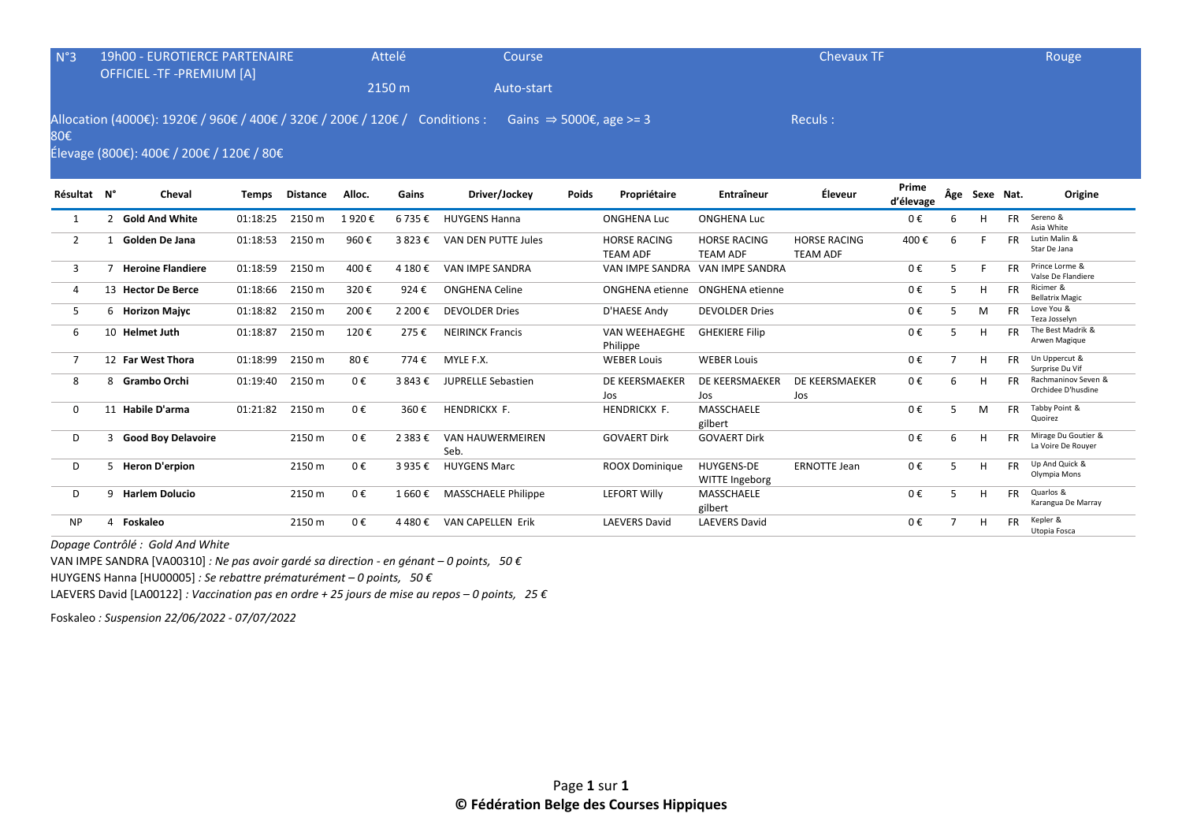| N°3            | <b>19h00 - EUROTIERCE PARTENAIRE</b><br><b>OFFICIEL -TF -PREMIUM [A]</b>                                                |          |                 |         | Attelé  | Course                          |              |                                        |                                        | <b>Chevaux TF</b>                      |                    |                |               |           | <b>Rouge</b>                              |
|----------------|-------------------------------------------------------------------------------------------------------------------------|----------|-----------------|---------|---------|---------------------------------|--------------|----------------------------------------|----------------------------------------|----------------------------------------|--------------------|----------------|---------------|-----------|-------------------------------------------|
|                |                                                                                                                         |          |                 |         | 2150 m  | Auto-start                      |              |                                        |                                        |                                        |                    |                |               |           |                                           |
| 80€            | Allocation (4000€): 1920€ / 960€ / 400€ / 320€ / 200€ / 120€ / Conditions :<br>Élevage (800€): 400€ / 200€ / 120€ / 80€ |          |                 |         |         |                                 |              | Gains $\Rightarrow$ 5000€, age >= 3    |                                        | Reculs:                                |                    |                |               |           |                                           |
| Résultat N°    | Cheval                                                                                                                  | Temps    | <b>Distance</b> | Alloc.  | Gains   | Driver/Jockey                   | <b>Poids</b> | Propriétaire                           | <b>Entraîneur</b>                      | Éleveur                                | Prime<br>d'élevage |                | Âge Sexe Nat. |           | Origine                                   |
| 1              | 2 Gold And White                                                                                                        | 01:18:25 | 2150 m          | 1920€   | 6735€   | <b>HUYGENS Hanna</b>            |              | <b>ONGHENA Luc</b>                     | <b>ONGHENA Luc</b>                     |                                        | 0€                 | 6              | н             | <b>FR</b> | Sereno &<br>Asia White                    |
| 2              | 1 Golden De Jana                                                                                                        | 01:18:53 | 2150 m          | 960€    | 3823€   | VAN DEN PUTTE Jules             |              | <b>HORSE RACING</b><br><b>TEAM ADF</b> | <b>HORSE RACING</b><br><b>TEAM ADF</b> | <b>HORSE RACING</b><br><b>TEAM ADF</b> | 400€               | 6              |               | <b>FR</b> | Lutin Malin &<br>Star De Jana             |
| 3              | 7 Heroine Flandiere                                                                                                     | 01:18:59 | 2150 m          | 400€    | 4 180€  | VAN IMPE SANDRA                 |              | VAN IMPE SANDRA                        | VAN IMPE SANDRA                        |                                        | 0€                 | 5              |               | <b>FR</b> | Prince Lorme &<br>Valse De Flandiere      |
| 4              | 13 Hector De Berce                                                                                                      | 01:18:66 | 2150 m          | 320€    | 924€    | <b>ONGHENA Celine</b>           |              | <b>ONGHENA</b> etienne                 | ONGHENA etienne                        |                                        | 0€                 | 5              | H             | <b>FR</b> | Ricimer &<br><b>Bellatrix Magic</b>       |
| 5              | 6 Horizon Majyc                                                                                                         | 01:18:82 | 2150 m          | 200€    | 2 200€  | <b>DEVOLDER Dries</b>           |              | D'HAESE Andy                           | <b>DEVOLDER Dries</b>                  |                                        | 0€                 | 5              | M             | <b>FR</b> | Love You &<br>Teza Josselyn               |
| 6              | 10 Helmet Juth                                                                                                          | 01:18:87 | 2150 m          | 120€    | 275€    | <b>NEIRINCK Francis</b>         |              | <b>VAN WEEHAEGHE</b><br>Philippe       | <b>GHEKIERE Filip</b>                  |                                        | 0€                 | 5              | H             | <b>FR</b> | The Best Madrik &<br>Arwen Magique        |
| $\overline{7}$ | 12 Far West Thora                                                                                                       | 01:18:99 | 2150 m          | 80€     | 774€    | MYLE F.X.                       |              | <b>WEBER Louis</b>                     | <b>WEBER Louis</b>                     |                                        | 0€                 | $\overline{7}$ | H             | <b>FR</b> | Un Uppercut &<br>Surprise Du Vif          |
| 8              | 8 Grambo Orchi                                                                                                          | 01:19:40 | 2150 m          | $0 \in$ | 3843E   | <b>JUPRELLE Sebastien</b>       |              | DE KEERSMAEKER<br>Jos                  | DE KEERSMAEKER<br>Jos                  | DE KEERSMAEKER<br>Jos                  | 0€                 | 6              | H             | <b>FR</b> | Rachmaninov Seven &<br>Orchidee D'husdine |
| $\mathbf{0}$   | 11 Habile D'arma                                                                                                        | 01:21:82 | 2150 m          | $0 \in$ | 360€    | HENDRICKX F.                    |              | <b>HENDRICKX F.</b>                    | MASSCHAELE<br>gilbert                  |                                        | 0€                 | 5              | M             | <b>FR</b> | Tabby Point &<br>Quoirez                  |
| D              | 3 Good Boy Delavoire                                                                                                    |          | 2150 m          | $0 \in$ | 2 383 € | <b>VAN HAUWERMEIREN</b><br>Seb. |              | <b>GOVAERT Dirk</b>                    | <b>GOVAERT Dirk</b>                    |                                        | 0€                 | 6              | H             | <b>FR</b> | Mirage Du Goutier &<br>La Voire De Rouver |
| D              | 5 Heron D'erpion                                                                                                        |          | 2150 m          | $0 \in$ | 3 935€  | <b>HUYGENS Marc</b>             |              | <b>ROOX Dominique</b>                  | <b>HUYGENS-DE</b><br>WITTE Ingeborg    | <b>ERNOTTE Jean</b>                    | 0€                 | 5              | H             | <b>FR</b> | Up And Quick &<br>Olympia Mons            |
| D              | 9 Harlem Dolucio                                                                                                        |          | 2150 m          | $0 \in$ | 1 660€  | MASSCHAELE Philippe             |              | <b>LEFORT Willy</b>                    | MASSCHAELE<br>gilbert                  |                                        | 0€                 | 5              | H             | <b>FR</b> | Quarlos &<br>Karangua De Marray           |
| <b>NP</b>      | 4 Foskaleo                                                                                                              |          | 2150 m          | 0€      | 4480€   | <b>VAN CAPELLEN Erik</b>        |              | <b>LAEVERS David</b>                   | <b>LAEVERS David</b>                   |                                        | 0€                 | $\overline{7}$ | H             | FR        | Kepler &<br>Utopia Fosca                  |

*Dopage Contrôlé : Gold And White* 

VAN IMPE SANDRA [VA00310] *: Ne pas avoir gardé sa direction - en génant – 0 points, 50 €*

HUYGENS Hanna [HU00005] *: Se rebattre prématurément – 0 points, 50 €*

LAEVERS David [LA00122] *: Vaccination pas en ordre + 25 jours de mise au repos – 0 points, 25 €*

Foskaleo *: Suspension 22/06/2022 - 07/07/2022*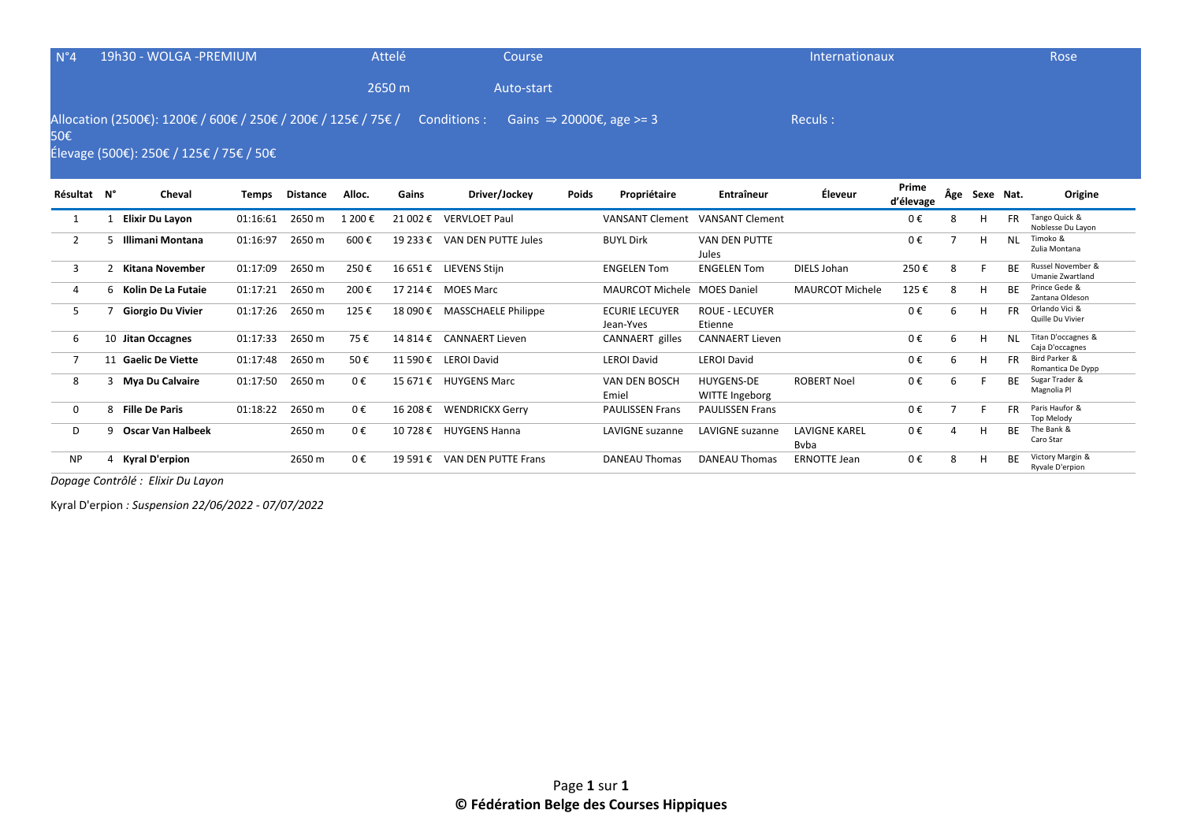| $N^{\circ}4$   |    | 19h30 - WOLGA - PREMIUM                                                                                  |              |                 |         | Attelé   | Course                       |       |                                      |                                     | Internationaux                       |                    |   |               |           | Rose                                         |
|----------------|----|----------------------------------------------------------------------------------------------------------|--------------|-----------------|---------|----------|------------------------------|-------|--------------------------------------|-------------------------------------|--------------------------------------|--------------------|---|---------------|-----------|----------------------------------------------|
|                |    |                                                                                                          |              |                 |         | 2650 m   | Auto-start                   |       |                                      |                                     |                                      |                    |   |               |           |                                              |
| 50€            |    | Allocation (2500€): 1200€ / 600€ / 250€ / 200€ / 125€ / 75€ /<br>Élevage (500€): 250€ / 125€ / 75€ / 50€ |              |                 |         |          | Conditions :                 |       | Gains $\Rightarrow$ 20000€, age >= 3 |                                     | Reculs:                              |                    |   |               |           |                                              |
| Résultat N°    |    | Cheval                                                                                                   | <b>Temps</b> | <b>Distance</b> | Alloc.  | Gains    | Driver/Jockey                | Poids | Propriétaire                         | Entraîneur                          | Éleveur                              | Prime<br>d'élevage |   | Âge Sexe Nat. |           | Origine                                      |
|                |    | <b>Elixir Du Layon</b>                                                                                   | 01:16:61     | 2650 m          | 1 200€  | 21 002 € | <b>VERVLOET Paul</b>         |       | <b>VANSANT Clement</b>               | <b>VANSANT Clement</b>              |                                      | 0€                 | 8 |               | <b>FR</b> | Tango Quick &<br>Noblesse Du Layon           |
| 2              | 5. | Illimani Montana                                                                                         | 01:16:97     | 2650 m          | 600€    | 19 233 € | VAN DEN PUTTE Jules          |       | <b>BUYL Dirk</b>                     | <b>VAN DEN PUTTE</b><br>Jules       |                                      | 0€                 |   |               | <b>NL</b> | Timoko &<br>Zulia Montana                    |
| 3              |    | 2 Kitana November                                                                                        | 01:17:09     | 2650 m          | 250€    |          | 16 651 € LIEVENS Stijn       |       | <b>ENGELEN Tom</b>                   | <b>ENGELEN Tom</b>                  | DIELS Johan                          | 250€               | 8 |               | BE        | Russel November &<br><b>Umanie Zwartland</b> |
| 4              |    | 6 Kolin De La Futaie                                                                                     | 01:17:21     | 2650 m          | 200€    |          | 17 214 € MOES Marc           |       | <b>MAURCOT Michele MOES Daniel</b>   |                                     | <b>MAURCOT Michele</b>               | 125€               | 8 | H             | ВF        | Prince Gede &<br>Zantana Oldeson             |
| 5              |    | <b>Giorgio Du Vivier</b>                                                                                 | 01:17:26     | 2650 m          | 125€    |          | 18 090 € MASSCHAELE Philippe |       | <b>ECURIE LECUYER</b><br>Jean-Yves   | <b>ROUE - LECUYER</b><br>Etienne    |                                      | 0€                 | 6 | H             | <b>FR</b> | Orlando Vici &<br>Quille Du Vivier           |
| 6              |    | 10 Jitan Occagnes                                                                                        | 01:17:33     | 2650 m          | 75€     |          | 14 814 € CANNAERT Lieven     |       | CANNAERT gilles                      | <b>CANNAERT Lieven</b>              |                                      | 0€                 | 6 |               | <b>NL</b> | Titan D'occagnes &<br>Caja D'occagnes        |
| $\overline{7}$ |    | 11 Gaelic De Viette                                                                                      | 01:17:48     | 2650 m          | 50€     |          | 11 590 € LEROI David         |       | <b>LEROI David</b>                   | <b>LEROI David</b>                  |                                      | 0€                 | 6 |               | <b>FR</b> | Bird Parker &<br>Romantica De Dypp           |
| 8              |    | 3 Mya Du Calvaire                                                                                        | 01:17:50     | 2650 m          | 0€      |          | 15 671 € HUYGENS Marc        |       | VAN DEN BOSCH<br>Emiel               | <b>HUYGENS-DE</b><br>WITTE Ingeborg | <b>ROBERT Noel</b>                   | 0€                 | 6 |               | ВE        | Sugar Trader &<br>Magnolia Pl                |
| $\mathbf{0}$   |    | 8 Fille De Paris                                                                                         | 01:18:22     | 2650 m          | $0 \in$ |          | 16 208 € WENDRICKX Gerry     |       | <b>PAULISSEN Frans</b>               | <b>PAULISSEN Frans</b>              |                                      | 0€                 |   |               | <b>FR</b> | Paris Haufor &<br><b>Top Melody</b>          |
| D              | 9  | <b>Oscar Van Halbeek</b>                                                                                 |              | 2650 m          | 0€      |          | 10 728 € HUYGENS Hanna       |       | <b>LAVIGNE</b> suzanne               | <b>LAVIGNE</b> suzanne              | <b>LAVIGNE KAREL</b><br><b>B</b> vba | 0€                 |   |               | <b>BF</b> | The Bank &<br>Caro Star                      |

NP 4 **Kyral D'erpion** 2650 m 0 € 19 591 € VAN DEN PUTTE Frans DANEAU Thomas DANEAU Thomas ERNOTTE Jean 0 € 8 H BE Victory Margin &

Ryvale D'erpion

*Dopage Contrôlé : Elixir Du Layon* 

Kyral D'erpion *: Suspension 22/06/2022 - 07/07/2022*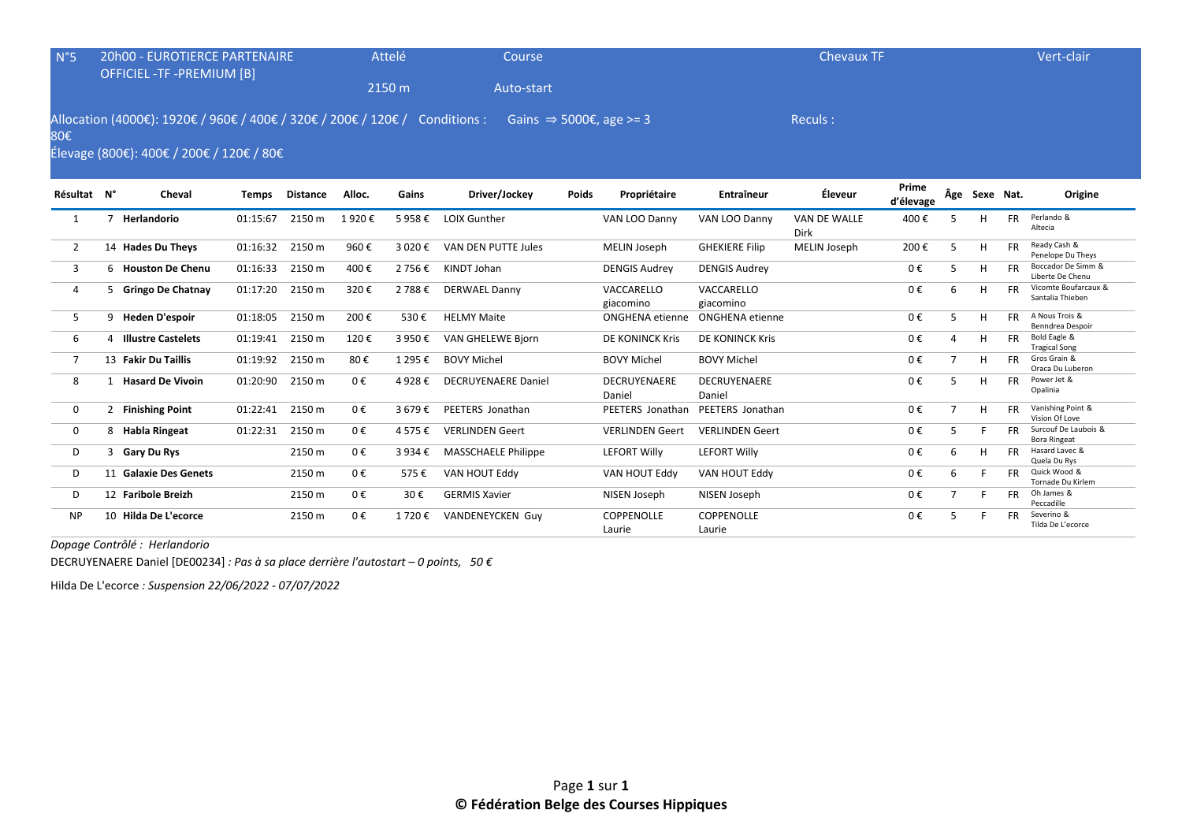| $N^{\circ}5$   |   | <b>20h00 - EUROTIERCE PARTENAIRE</b><br><b>OFFICIEL -TF -PREMIUM [B]</b>                                                |              |                 |        | Attelé  | Course                              |       |                             |                         | <b>Chevaux TF</b>    |                    |                |               |           | Vert-clair                                  |
|----------------|---|-------------------------------------------------------------------------------------------------------------------------|--------------|-----------------|--------|---------|-------------------------------------|-------|-----------------------------|-------------------------|----------------------|--------------------|----------------|---------------|-----------|---------------------------------------------|
|                |   |                                                                                                                         |              |                 |        | 2150 m  | Auto-start                          |       |                             |                         |                      |                    |                |               |           |                                             |
| 80€            |   | Allocation (4000€): 1920€ / 960€ / 400€ / 320€ / 200€ / 120€ / Conditions :<br>Élevage (800€): 400€ / 200€ / 120€ / 80€ |              |                 |        |         | Gains $\Rightarrow$ 5000€, age >= 3 |       |                             |                         | Reculs:              |                    |                |               |           |                                             |
| Résultat N°    |   | Cheval                                                                                                                  | <b>Temps</b> | <b>Distance</b> | Alloc. | Gains   | Driver/Jockey                       | Poids | Propriétaire                | <b>Entraîneur</b>       | Éleveur              | Prime<br>d'élevage |                | Âge Sexe Nat. |           | Origine                                     |
| -1             |   | Herlandorio                                                                                                             | 01:15:67     | 2150 m          | 1920€  | 5958€   | <b>LOIX Gunther</b>                 |       | VAN LOO Danny               | VAN LOO Danny           | VAN DE WALLE<br>Dirk | 400€               |                | H             | <b>FR</b> | Perlando &<br>Altecia                       |
| 2              |   | 14 Hades Du Theys                                                                                                       | 01:16:32     | 2150 m          | 960€   | 3 020 € | VAN DEN PUTTE Jules                 |       | MELIN Joseph                | <b>GHEKIERE Filip</b>   | MELIN Joseph         | 200€               | 5              | H             | <b>FR</b> | Ready Cash &<br>Penelope Du Theys           |
| 3              |   | 6 Houston De Chenu                                                                                                      | 01:16:33     | 2150 m          | 400€   | 2 756€  | KINDT Johan                         |       | <b>DENGIS Audrey</b>        | <b>DENGIS Audrey</b>    |                      | $0 \in$            | 5              | н             | <b>FR</b> | Boccador De Simm &<br>Liberte De Chenu      |
| 4              |   | 5 Gringo De Chatnay                                                                                                     | 01:17:20     | 2150 m          | 320€   | 2 788€  | <b>DERWAEL Danny</b>                |       | VACCARELLO<br>giacomino     | VACCARELLO<br>giacomino |                      | $0 \in$            | 6              | н             | <b>FR</b> | Vicomte Boufarcaux &<br>Santalia Thieben    |
| 5              |   | 9 Heden D'espoir                                                                                                        | 01:18:05     | 2150 m          | 200€   | 530€    | <b>HELMY Maite</b>                  |       | <b>ONGHENA</b> etienne      | ONGHENA etienne         |                      | 0€                 | 5              | H             | <b>FR</b> | A Nous Trois &<br>Benndrea Despoir          |
| 6              | 4 | <b>Illustre Castelets</b>                                                                                               | 01:19:41     | 2150 m          | 120€   | 3 950€  | <b>VAN GHELEWE Bjorn</b>            |       | DE KONINCK Kris             | DE KONINCK Kris         |                      | 0€                 | $\Delta$       | н             | FR.       | Bold Eagle &<br><b>Tragical Song</b>        |
| $\overline{7}$ |   | 13 Fakir Du Taillis                                                                                                     | 01:19:92     | 2150 m          | 80€    | 1 295 € | <b>BOVY Michel</b>                  |       | <b>BOVY Michel</b>          | <b>BOVY Michel</b>      |                      | $0 \in$            | $\overline{7}$ | H             | <b>FR</b> | Gros Grain &<br>Oraca Du Luberon            |
| 8              |   | <b>Hasard De Vivoin</b>                                                                                                 | 01:20:90     | 2150 m          | 0€     | 4 928 € | <b>DECRUYENAERE Daniel</b>          |       | DECRUYENAERE<br>Daniel      | DECRUYENAERE<br>Daniel  |                      | 0€                 | 5              | H             | <b>FR</b> | Power Jet &<br>Opalinia                     |
| 0              |   | 2 Finishing Point                                                                                                       | 01:22:41     | 2150 m          | 0€     | 3679€   | PEETERS Jonathan                    |       | PEETERS Jonathan            | PEETERS Jonathan        |                      | 0€                 | $\overline{7}$ | H             | <b>FR</b> | Vanishing Point &<br>Vision Of Love         |
| $\mathbf 0$    |   | 8 Habla Ringeat                                                                                                         | 01:22:31     | 2150 m          | 0€     | 4 575 € | <b>VERLINDEN Geert</b>              |       | <b>VERLINDEN Geert</b>      | <b>VERLINDEN Geert</b>  |                      | $0 \in$            | 5              | F             | <b>FR</b> | Surcouf De Laubois &<br><b>Bora Ringeat</b> |
| D              | 3 | Gary Du Rys                                                                                                             |              | 2150 m          | 0€     | 3 934 € | MASSCHAELE Philippe                 |       | <b>LEFORT Willy</b>         | <b>LEFORT Willy</b>     |                      | $0 \in$            | 6              | H             | <b>FR</b> | Hasard Lavec &<br>Quela Du Rys              |
| D              |   | 11 Galaxie Des Genets                                                                                                   |              | 2150 m          | 0€     | 575€    | VAN HOUT Eddy                       |       | VAN HOUT Eddy               | VAN HOUT Eddy           |                      | $0 \in$            | 6              | F             | <b>FR</b> | Quick Wood &<br>Tornade Du Kirlem           |
| D              |   | 12 Faribole Breizh                                                                                                      |              | 2150 m          | 0€     | 30€     | <b>GERMIS Xavier</b>                |       | NISEN Joseph                | NISEN Joseph            |                      | 0€                 | $\overline{7}$ | F             | <b>FR</b> | Oh James &<br>Peccadille                    |
| <b>NP</b>      |   | 10 Hilda De L'ecorce                                                                                                    |              | 2150 m          | 0€     | 1 720 € | <b>VANDENEYCKEN Guy</b>             |       | <b>COPPENOLLE</b><br>Laurie | COPPENOLLE<br>Laurie    |                      | 0€                 | 5              | F             | <b>FR</b> | Severino &<br>Tilda De L'ecorce             |

*Dopage Contrôlé : Herlandorio* 

DECRUYENAERE Daniel [DE00234] *: Pas à sa place derrière l'autostart – 0 points, 50 €*

Hilda De L'ecorce *: Suspension 22/06/2022 - 07/07/2022*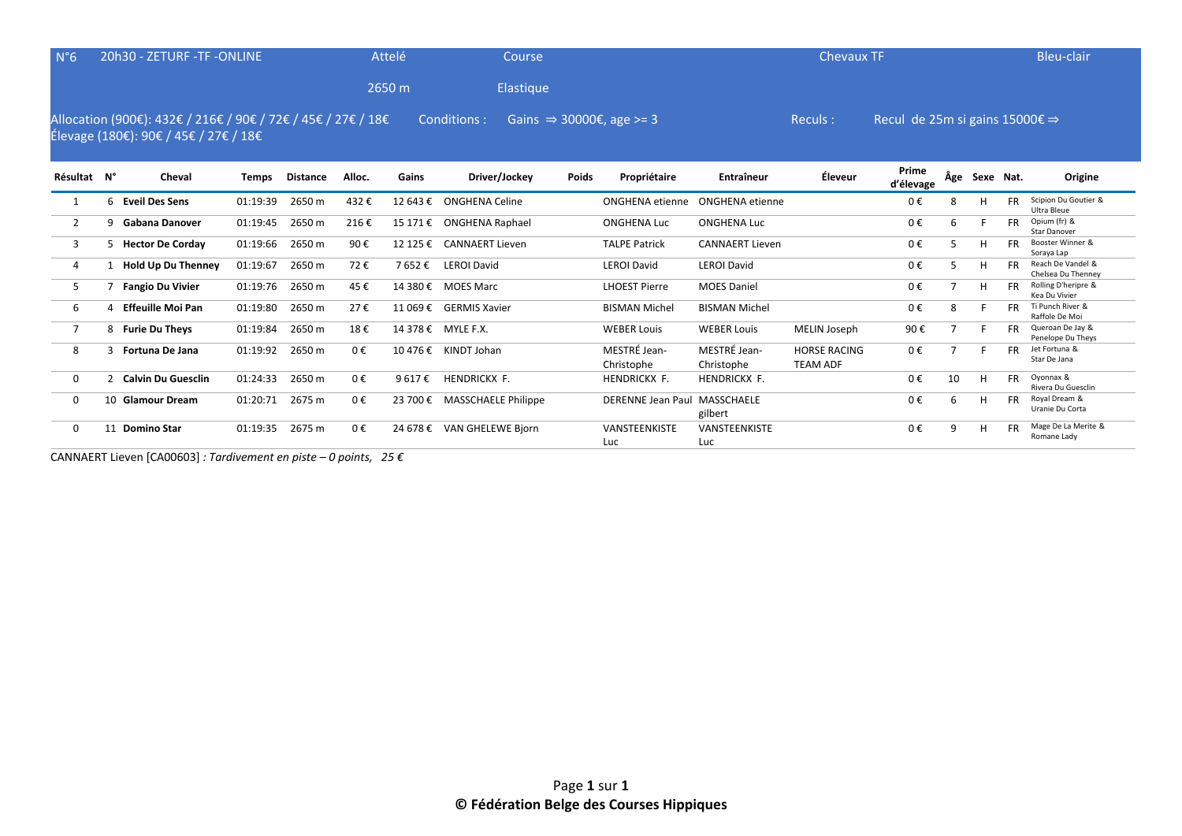| $N^{\circ}6$   |    | 20h30 - ZETURF -TF -ONLINE                                                                            |              |                 |         | Attelé   | Course                     |              |                                      |                               | <b>Chevaux TF</b>                      |                                                    |     |           |           | Bleu-clair                              |
|----------------|----|-------------------------------------------------------------------------------------------------------|--------------|-----------------|---------|----------|----------------------------|--------------|--------------------------------------|-------------------------------|----------------------------------------|----------------------------------------------------|-----|-----------|-----------|-----------------------------------------|
|                |    |                                                                                                       |              |                 |         | 2650 m   | Elastique                  |              |                                      |                               |                                        |                                                    |     |           |           |                                         |
|                |    | Allocation (900€): 432€ / 216€ / 90€ / 72€ / 45€ / 27€ / 18€<br>Élevage (180€): 90€ / 45€ / 27€ / 18€ |              |                 |         |          | Conditions:                |              | Gains $\Rightarrow$ 30000€, age >= 3 |                               | Reculs :                               | Recul de 25m si gains $15000 \epsilon \Rightarrow$ |     |           |           |                                         |
| Résultat N°    |    | Cheval                                                                                                | <b>Temps</b> | <b>Distance</b> | Alloc.  | Gains    | Driver/Jockey              | <b>Poids</b> | Propriétaire                         | <b>Entraîneur</b>             | Éleveur                                | Prime<br>d'élevage                                 | Âge | Sexe Nat. |           | Origine                                 |
|                | 6  | <b>Eveil Des Sens</b>                                                                                 | 01:19:39     | 2650 m          | 432€    | 12 643 € | ONGHENA Celine             |              | <b>ONGHENA</b> etienne               | <b>ONGHENA</b> etienne        |                                        | 0€                                                 | 8   | н         | <b>FR</b> | Scipion Du Goutier &<br>Ultra Bleue     |
| 2              |    | Gabana Danover                                                                                        | 01:19:45     | 2650 m          | 216€    | 15 171 € | ONGHENA Raphael            |              | <b>ONGHENA Luc</b>                   | <b>ONGHENA Luc</b>            |                                        | 0€                                                 | 6   |           | <b>FR</b> | Opium (fr) &<br>Star Danover            |
| 3              | 5. | <b>Hector De Corday</b>                                                                               | 01:19:66     | 2650 m          | 90€     | 12 125 € | <b>CANNAERT Lieven</b>     |              | <b>TALPE Patrick</b>                 | <b>CANNAERT Lieven</b>        |                                        | 0€                                                 | 5   | H         | <b>FR</b> | Booster Winner &<br>Soraya Lap          |
| 4              |    | <b>Hold Up Du Thenney</b>                                                                             | 01:19:67     | 2650 m          | 72€     | 7 652€   | <b>LEROI David</b>         |              | <b>LEROI David</b>                   | <b>LEROI David</b>            |                                        | 0€                                                 | 5   | H         |           | Reach De Vandel &<br>Chelsea Du Thenney |
| 5              |    | <b>Fangio Du Vivier</b>                                                                               | 01:19:76     | 2650 m          | 45€     | 14 380 € | <b>MOES Marc</b>           |              | <b>LHOEST Pierre</b>                 | <b>MOES Daniel</b>            |                                        | 0€                                                 |     | H         | <b>FR</b> | Rolling D'heripre &<br>Kea Du Vivier    |
| 6              |    | <b>Effeuille Moi Pan</b>                                                                              | 01:19:80     | 2650 m          | 27€     | 11 069€  | <b>GERMIS Xavier</b>       |              | <b>BISMAN Michel</b>                 | <b>BISMAN Michel</b>          |                                        | 0€                                                 | 8   |           | <b>FR</b> | Ti Punch River &<br>Raffole De Moi      |
| $\overline{7}$ |    | 8 Furie Du Theys                                                                                      | 01:19:84     | 2650 m          | 18€     |          | 14 378 € MYLE F.X.         |              | <b>WEBER Louis</b>                   | <b>WEBER Louis</b>            | MELIN Joseph                           | 90€                                                |     |           |           | Queroan De Jay &<br>Penelope Du Theys   |
| 8              |    | <b>Fortuna De Jana</b>                                                                                | 01:19:92     | 2650 m          | 0€      |          | 10 476 € KINDT Johan       |              | MESTRÉ Jean-<br>Christophe           | MESTRÉ Jean-<br>Christophe    | <b>HORSE RACING</b><br><b>TEAM ADF</b> | 0€                                                 | 7   |           | FR        | Jet Fortuna &<br>Star De Jana           |
| $\mathbf{0}$   |    | <b>Calvin Du Guesclin</b>                                                                             | 01:24:33     | 2650 m          | $0 \in$ | 9617€    | HENDRICKX F.               |              | HENDRICKX F.                         | <b>HENDRICKX F.</b>           |                                        | 0€                                                 | 10  | H         | <b>FR</b> | Oyonnax &<br>Rivera Du Guesclin         |
| 0              |    | 10 Glamour Dream                                                                                      | 01:20:71     | 2675 m          | 0€      | 23 700 € | <b>MASSCHAELE Philippe</b> |              | DERENNE Jean Paul MASSCHAELE         | gilbert                       |                                        | 0€                                                 | 6   | H         | <b>FR</b> | Royal Dream &<br>Uranie Du Corta        |
| 0              |    | 11 Domino Star                                                                                        | 01:19:35     | 2675 m          | $0 \in$ |          | 24 678 € VAN GHELEWE Bjorn |              | <b>VANSTEENKISTE</b><br>$\mathbf{1}$ | VANSTEENKISTE<br>$\mathbf{1}$ |                                        | 0€                                                 | 9   | H         | <b>FR</b> | Mage De La Merite &<br>Romane Lady      |

Luc

Luc

CANNAERT Lieven [CA00603] *: Tardivement en piste – 0 points, 25 €*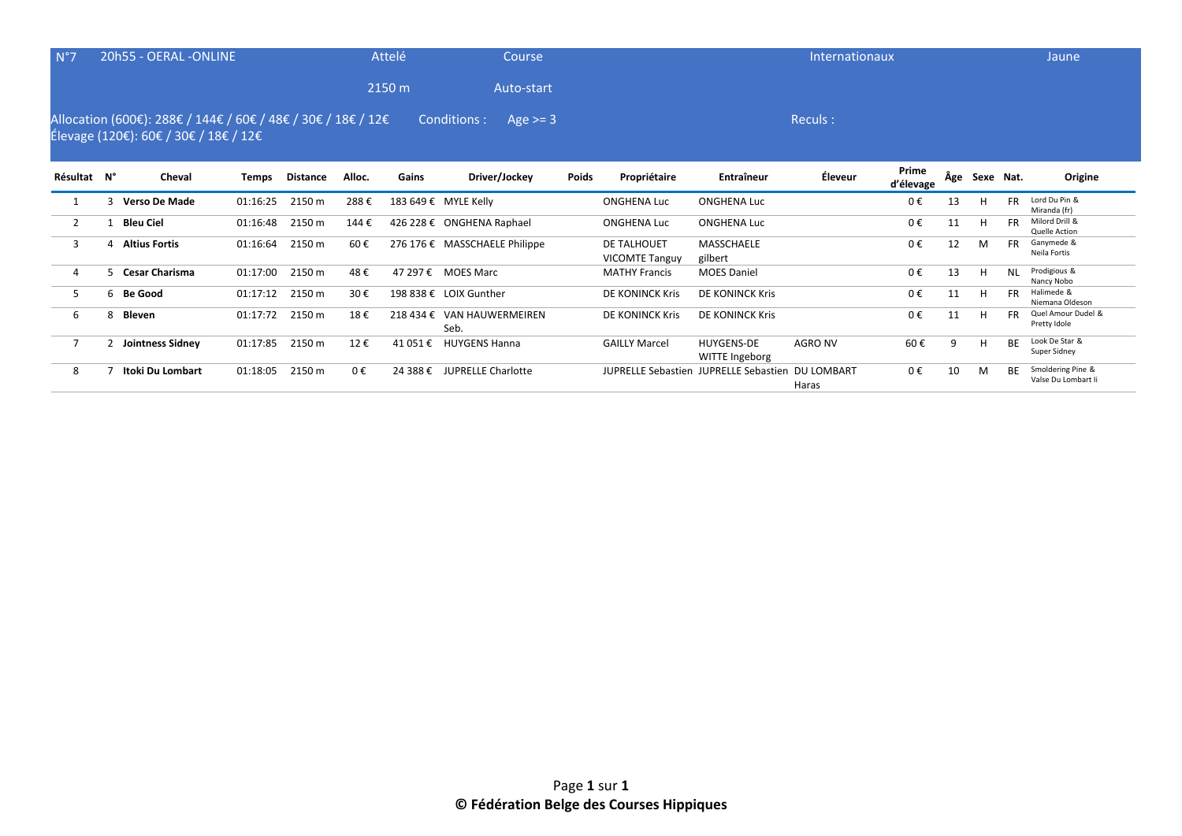| N°7 | 20h55 - OERAL -ONLINE                                                                                                       | Attelé | Course     | Internationaux | Jaune |
|-----|-----------------------------------------------------------------------------------------------------------------------------|--------|------------|----------------|-------|
|     |                                                                                                                             | 2150 m | Auto-start |                |       |
|     | Allocation (600€): 288€ / 144€ / 60€ / 48€ / 30€ / 18€ / 12€ Conditions : Age >= 3<br>Élevage (120€): 60€ / 30€ / 18€ / 12€ |        |            | Reculs :       |       |
|     |                                                                                                                             |        |            | - -            |       |

| Résultat N° |    | Cheval                | Temps    | Distance | Alloc. | Gains     | Driver/Jockey                 | Poids | Propriétaire                         | Entraîneur                                       | Éleveur | Prime<br>d'élevage | Âge | Sexe Nat. |           | Origine                                  |
|-------------|----|-----------------------|----------|----------|--------|-----------|-------------------------------|-------|--------------------------------------|--------------------------------------------------|---------|--------------------|-----|-----------|-----------|------------------------------------------|
|             |    | <b>Verso De Made</b>  | 01:16:25 | 2150 m   | 288€   |           | 183 649 € MYLE Kelly          |       | <b>ONGHENA Luc</b>                   | <b>ONGHENA Luc</b>                               |         | 0€                 | 13  | H         | <b>FR</b> | Lord Du Pin &<br>Miranda (fr)            |
|             |    | Bleu Ciel             | 01:16:48 | 2150 m   | 144€   |           | 426 228 € ONGHENA Raphael     |       | <b>ONGHENA Luc</b>                   | <b>ONGHENA Luc</b>                               |         | 0€                 | 11  | H         | <b>FR</b> | Milord Drill &<br>Quelle Action          |
|             |    | <b>Altius Fortis</b>  | 01:16:64 | 2150 m   | 60€    |           | 276 176 € MASSCHAELE Philippe |       | DE TALHOUET<br><b>VICOMTE Tanguy</b> | MASSCHAELE<br>gilbert                            |         | 0€                 | 12  | M         | <b>FR</b> | Ganymede &<br>Neila Fortis               |
|             |    | <b>Cesar Charisma</b> | 01:17:00 | 2150 m   | 48€    | 47 297 €  | <b>MOES Marc</b>              |       | <b>MATHY Francis</b>                 | <b>MOES Daniel</b>                               |         | 0€                 | 13  | H         | <b>NL</b> | Prodigious &<br>Nancy Nobo               |
|             | 6. | Be Good               | 01:17:12 | 2150 m   | 30€    |           | 198 838 € LOIX Gunther        |       | DE KONINCK Kris                      | DE KONINCK Kris                                  |         | 0€                 | 11  | H         | <b>FR</b> | Halimede &<br>Niemana Oldeson            |
| 6           | 8  | Bleven                | 01:17:72 | 2150 m   | 18€    | 218 434 € | VAN HAUWERMEIREN<br>Seb.      |       | DE KONINCK Kris                      | DE KONINCK Kris                                  |         | 0€                 | 11  | H         | <b>FR</b> | Quel Amour Dudel &<br>Pretty Idole       |
|             |    | Jointness Sidney      | 01:17:85 | 2150 m   | 12€    | 41 051 €  | <b>HUYGENS Hanna</b>          |       | <b>GAILLY Marcel</b>                 | <b>HUYGENS-DE</b><br>WITTE Ingeborg              | AGRO NV | 60€                | 9   | H         | <b>BE</b> | Look De Star &<br>Super Sidney           |
| 8           |    | Itoki Du Lombart      | 01:18:05 | 2150 m   | 0€     | 24 388 €  | <b>JUPRELLE Charlotte</b>     |       |                                      | JUPRELLE Sebastien JUPRELLE Sebastien DU LOMBART | Haras   | $0 \in$            | 10  | M         | <b>BE</b> | Smoldering Pine &<br>Valse Du Lombart Ii |